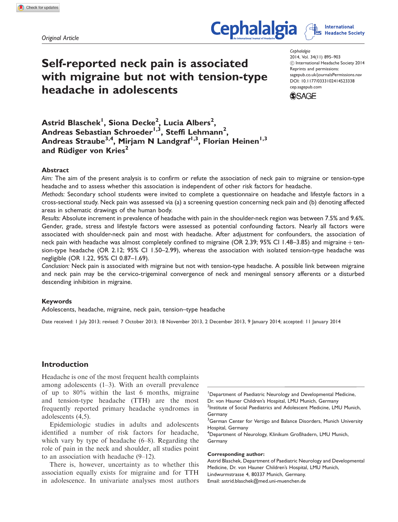Original Article

# Self-reported neck pain is associated with migraine but not with tension-type headache in adolescents

**Cephalalgia** 2014, Vol. 34(11) 895–903 ! International Headache Society 2014 Reprints and permissions: sagepub.co.uk/journalsPermissions.nav DOI: 10.1177/0333102414523338 cep.sagepub.com



**Cephalalgia** 

 $\mathsf{A}$ strid Blaschek $^{\mathsf{l}}$ , Siona Decke $^{\mathsf{2}},$  Lucia Albers $^{\mathsf{2}},$ Andreas Sebastian Schroeder $^{1,3}$ , Steffi Lehmann $^{2},$ Andreas Straube<sup>3,4</sup>, Mirjam N Landgraf<sup>1,3</sup>, Florian Heinen<sup>1,3</sup> and Rüdiger von Kries $2$ 

#### Abstract

Aim: The aim of the present analysis is to confirm or refute the association of neck pain to migraine or tension-type headache and to assess whether this association is independent of other risk factors for headache.

Methods: Secondary school students were invited to complete a questionnaire on headache and lifestyle factors in a cross-sectional study. Neck pain was assessed via (a) a screening question concerning neck pain and (b) denoting affected areas in schematic drawings of the human body.

Results: Absolute increment in prevalence of headache with pain in the shoulder-neck region was between 7.5% and 9.6%. Gender, grade, stress and lifestyle factors were assessed as potential confounding factors. Nearly all factors were associated with shoulder-neck pain and most with headache. After adjustment for confounders, the association of neck pain with headache was almost completely confined to migraine (OR 2.39; 95% CI 1.48–3.85) and migraine  $+$  tension-type headache (OR 2.12; 95% CI 1.50–2.99), whereas the association with isolated tension-type headache was negligible (OR 1.22, 95% CI 0.87–1.69).

Conclusion: Neck pain is associated with migraine but not with tension-type headache. A possible link between migraine and neck pain may be the cervico-trigeminal convergence of neck and meningeal sensory afferents or a disturbed descending inhibition in migraine.

#### Keywords

Adolescents, headache, migraine, neck pain, tension–type headache

Date received: 1 July 2013; revised: 7 October 2013; 18 November 2013, 2 December 2013, 9 January 2014; accepted: 11 January 2014

## Introduction

Headache is one of the most frequent health complaints among adolescents (1–3). With an overall prevalence of up to 80% within the last 6 months, migraine and tension-type headache (TTH) are the most frequently reported primary headache syndromes in adolescents (4,5).

Epidemiologic studies in adults and adolescents identified a number of risk factors for headache, which vary by type of headache (6–8). Regarding the role of pain in the neck and shoulder, all studies point to an association with headache (9–12).

There is, however, uncertainty as to whether this association equally exists for migraine and for TTH in adolescence. In univariate analyses most authors

1 Department of Paediatric Neurology and Developmental Medicine, Dr. von Hauner Children's Hospital, LMU Munich, Germany <sup>2</sup>Institute of Social Paediatrics and Adolescent Medicine, LMU Munich, Germany

<sup>3</sup>German Center for Vertigo and Balance Disorders, Munich University Hospital, Germany

4 Department of Neurology, Klinikum Großhadern, LMU Munich, Germany

#### Corresponding author:

Astrid Blaschek, Department of Paediatric Neurology and Developmental Medicine, Dr. von Hauner Children's Hospital, LMU Munich, Lindwurmstrasse 4, 80337 Munich, Germany. Email: astrid.blaschek@med.uni-muenchen.de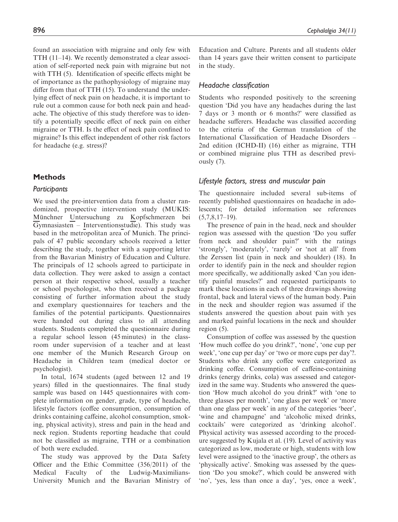found an association with migraine and only few with TTH (11–14). We recently demonstrated a clear association of self-reported neck pain with migraine but not with TTH  $(5)$ . Identification of specific effects might be of importance as the pathophysiology of migraine may differ from that of TTH (15). To understand the underlying effect of neck pain on headache, it is important to rule out a common cause for both neck pain and headache. The objective of this study therefore was to identify a potentially specific effect of neck pain on either migraine or TTH. Is the effect of neck pain confined to migraine? Is this effect independent of other risk factors for headache (e.g. stress)?

## **Methods**

## Participants

We used the pre-intervention data from a cluster randomized, prospective intervention study (MUKIS: Münchner Untersuchung zu Kopfschmerzen bei Gymnasiasten – Interventionsstudie). This study was based in the metropolitan area of Munich. The principals of 47 public secondary schools received a letter describing the study, together with a supporting letter from the Bavarian Ministry of Education and Culture. The principals of 12 schools agreed to participate in data collection. They were asked to assign a contact person at their respective school, usually a teacher or school psychologist, who then received a package consisting of further information about the study and exemplary questionnaires for teachers and the families of the potential participants. Questionnaires were handed out during class to all attending students. Students completed the questionnaire during a regular school lesson (45 minutes) in the classroom under supervision of a teacher and at least one member of the Munich Research Group on Headache in Children team (medical doctor or psychologist).

In total, 1674 students (aged between 12 and 19 years) filled in the questionnaires. The final study sample was based on 1445 questionnaires with complete information on gender, grade, type of headache, lifestyle factors (coffee consumption, consumption of drinks containing caffeine, alcohol consumption, smoking, physical activity), stress and pain in the head and neck region. Students reporting headache that could not be classified as migraine, TTH or a combination of both were excluded.

The study was approved by the Data Safety Officer and the Ethic Committee (356/2011) of the Medical Faculty of the Ludwig-Maximilians-University Munich and the Bavarian Ministry of Education and Culture. Parents and all students older than 14 years gave their written consent to participate in the study.

## Headache classification

Students who responded positively to the screening question 'Did you have any headaches during the last 7 days or 3 month or 6 months?' were classified as headache sufferers. Headache was classified according to the criteria of the German translation of the International Classification of Headache Disorders – 2nd edition (ICHD-II) (16) either as migraine, TTH or combined migraine plus TTH as described previously (7).

## Lifestyle factors, stress and muscular pain

The questionnaire included several sub-items of recently published questionnaires on headache in adolescents; for detailed information see references  $(5,7,8,17-19)$ .

The presence of pain in the head, neck and shoulder region was assessed with the question 'Do you suffer from neck and shoulder pain?' with the ratings 'strongly', 'moderately', 'rarely' or 'not at all' from the Zerssen list (pain in neck and shoulder) (18). In order to identify pain in the neck and shoulder region more specifically, we additionally asked 'Can you identify painful muscles?' and requested participants to mark these locations in each of three drawings showing frontal, back and lateral views of the human body. Pain in the neck and shoulder region was assumed if the students answered the question about pain with yes and marked painful locations in the neck and shoulder region (5).

Consumption of coffee was assessed by the question 'How much coffee do you drink?', 'none', 'one cup per week', 'one cup per day' or 'two or more cups per day'?. Students who drink any coffee were categorized as drinking coffee. Consumption of caffeine-containing drinks (energy drinks, cola) was assessed and categorized in the same way. Students who answered the question 'How much alcohol do you drink?' with 'one to three glasses per month', 'one glass per week' or 'more than one glass per week' in any of the categories 'beer', 'wine and champagne' and 'alcoholic mixed drinks, cocktails' were categorized as 'drinking alcohol'. Physical activity was assessed according to the procedure suggested by Kujala et al. (19). Level of activity was categorized as low, moderate or high, students with low level were assigned to the 'inactive group', the others as 'physically active'. Smoking was assessed by the question 'Do you smoke?', which could be answered with 'no', 'yes, less than once a day', 'yes, once a week',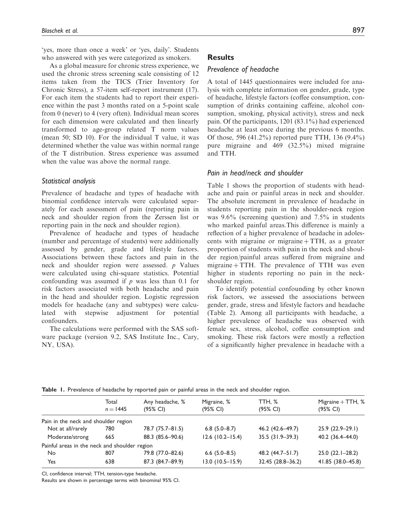'yes, more than once a week' or 'yes, daily'. Students who answered with yes were categorized as smokers.

As a global measure for chronic stress experience, we used the chronic stress screening scale consisting of 12 items taken from the TICS (Trier Inventory for Chronic Stress), a 57-item self-report instrument (17). For each item the students had to report their experience within the past 3 months rated on a 5-point scale from 0 (never) to 4 (very often). Individual mean scores for each dimension were calculated and then linearly transformed to age-group related T norm values (mean 50; SD 10). For the individual T value, it was determined whether the value was within normal range of the T distribution. Stress experience was assumed when the value was above the normal range.

#### Statistical analysis

Prevalence of headache and types of headache with binomial confidence intervals were calculated separately for each assessment of pain (reporting pain in neck and shoulder region from the Zerssen list or reporting pain in the neck and shoulder region).

Prevalence of headache and types of headache (number and percentage of students) were additionally assessed by gender, grade and lifestyle factors. Associations between these factors and pain in the neck and shoulder region were assessed. p Values were calculated using chi-square statistics. Potential confounding was assumed if  $p$  was less than 0.1 for risk factors associated with both headache and pain in the head and shoulder region. Logistic regression models for headache (any and subtypes) were calculated with stepwise adjustment for potential confounders.

The calculations were performed with the SAS software package (version 9.2, SAS Institute Inc., Cary, NY, USA).

## **Results**

## Prevalence of headache

A total of 1445 questionnaires were included for analysis with complete information on gender, grade, type of headache, lifestyle factors (coffee consumption, consumption of drinks containing caffeine, alcohol consumption, smoking, physical activity), stress and neck pain. Of the participants, 1201 (83.1%) had experienced headache at least once during the previous 6 months. Of those, 596 (41.2%) reported pure TTH, 136 (9.4%) pure migraine and 469 (32.5%) mixed migraine and TTH.

#### Pain in head/neck and shoulder

Table 1 shows the proportion of students with headache and pain or painful areas in neck and shoulder. The absolute increment in prevalence of headache in students reporting pain in the shoulder-neck region was 9.6% (screening question) and 7.5% in students who marked painful areas.This difference is mainly a reflection of a higher prevalence of headache in adolescents with migraine or migraine  $+ TTH$ , as a greater proportion of students with pain in the neck and shoulder region/painful areas suffered from migraine and migraine  $+$  TTH. The prevalence of TTH was even higher in students reporting no pain in the neckshoulder region.

To identify potential confounding by other known risk factors, we assessed the associations between gender, grade, stress and lifestyle factors and headache (Table 2). Among all participants with headache, a higher prevalence of headache was observed with female sex, stress, alcohol, coffee consumption and smoking. These risk factors were mostly a reflection of a significantly higher prevalence in headache with a

|                                               | Total<br>$n = 1445$ | Any headache, %<br>(95% CI) | Migraine, %<br>(95% CI) | TTH, %<br>(95% CI) | Migraine $+$ TTH, $%$<br>(95% CI) |
|-----------------------------------------------|---------------------|-----------------------------|-------------------------|--------------------|-----------------------------------|
| Pain in the neck and shoulder region          |                     |                             |                         |                    |                                   |
| Not at all/rarely                             | 780                 | 78.7 (75.7-81.5)            | $6.8$ (5.0-8.7)         | 46.2 (42.6-49.7)   | $25.9(22.9-29.1)$                 |
| Moderate/strong                               | 665                 | 88.3 (85.6-90.6)            | $12.6$ (10.2-15.4)      | $35.5(31.9-39.3)$  | 40.2 (36.4-44.0)                  |
| Painful areas in the neck and shoulder region |                     |                             |                         |                    |                                   |
| No                                            | 807                 | 79.8 (77.0-82.6)            | $6.6$ $(5.0 - 8.5)$     | 48.2 (44.7–51.7)   | $25.0(22.1-28.2)$                 |
| Yes                                           | 638                 | 87.3 (84.7-89.9)            | $13.0(10.5 - 15.9)$     | 32.45 (28.8-36.2)  | 41.85 (38.0-45.8)                 |

Table 1. Prevalence of headache by reported pain or painful areas in the neck and shoulder region.

CI, confidence interval; TTH, tension-type headache.

Results are shown in percentage terms with binominal 95% CI.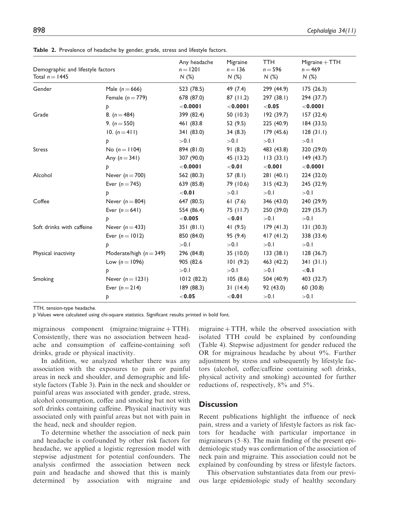| Demographic and lifestyle factors<br>Total $n = 1445$ |                                      | Any headache<br>$n = 1201$<br>N(%) | Migraine<br>$n = 136$<br>N(%) | <b>TTH</b><br>$n = 596$<br>N(%) | $Migraine + TTH$<br>$n = 469$<br>N(%) |
|-------------------------------------------------------|--------------------------------------|------------------------------------|-------------------------------|---------------------------------|---------------------------------------|
| Gender                                                | Male $(n = 666)$<br>Female $(n=779)$ | 523 (78.5)<br>678 (87.0)           | 49 (7.4)<br>87(11.2)          | 299 (44.9)<br>297 (38.1)        | 175(26.3)<br>294 (37.7)               |
|                                                       | Þ                                    | $<$ 0.000 l                        | $<$ 0.000 l                   | < 0.05                          | $<$ 0.000 l                           |
| Grade                                                 | 8. $(n = 484)$                       | 399 (82.4)                         | 50(10.3)                      | 192(39.7)                       | 157(32.4)                             |
|                                                       | 9. $(n = 550)$                       | 461 (83.8                          | 52 (9.5)                      | 225 (40.9)                      | 184(33.5)                             |
|                                                       | 10. $(n=411)$                        | 341 (83.0)                         | 34(8.3)                       | 179(45.6)                       | 128(31.1)                             |
|                                                       | Þ                                    | > 0.1                              | >0.1                          | >0.1                            | >0.1                                  |
| <b>Stress</b>                                         | No $(n = 1104)$                      | 894 (81.0)                         | 91(8.2)                       | 483 (43.8)                      | 320 (29.0)                            |
|                                                       | Any $(n = 341)$                      | 307 (90.0)                         | 45 (13.2)                     | 113(33.1)                       | 149(43.7)                             |
|                                                       | Þ                                    | $<$ 0.000 l                        | < 0.01                        | $<$ 0.001                       | $<$ 0.000 l                           |
| Alcohol                                               | Never $(n=700)$                      | 562 (80.3)                         | 57 $(8.1)$                    | 281 (40.1)                      | 224 (32.0)                            |
|                                                       | Ever $(n = 745)$                     | 639 (85.8)                         | 79 (10.6)                     | 315(42.3)                       | 245 (32.9)                            |
|                                                       | Þ                                    | < 0.01                             | > 0.1                         | > 0.1                           | >0.1                                  |
| Coffee                                                | Never $(n=804)$                      | 647 (80.5)                         | 61(7.6)                       | 346 (43.0)                      | 240 (29.9)                            |
|                                                       | Ever $(n=641)$                       | 554 (86.4)                         | 75 (11.7)                     | 250 (39.0)                      | 229 (35.7)                            |
|                                                       |                                      | < 0.005                            | < 0.01                        | >0.1                            | >0.1                                  |
| Soft drinks with caffeine                             | Never $(n=433)$                      | 351(81.1)                          | 41 $(9.5)$                    | 179(41.3)                       | 131(30.3)                             |
|                                                       | Ever $(n = 1012)$                    | 850 (84.0)                         | 95 (9.4)                      | 417(41.2)                       | 338 (33.4)                            |
|                                                       |                                      | >0.1                               | >0.1                          | >0.1                            | >0.1                                  |
| Physical inactivity                                   | Moderate/high $(n = 349)$            | 296 (84.8)                         | 35 (10.0)                     | 133(38.1)                       | 128 (36.7)                            |
|                                                       | Low $(n = 1096)$                     | 905 (82.6                          | 101(9.2)                      | 463 (42.2)                      | 341 (31.1)                            |
|                                                       |                                      | > 0.1                              | >0.1                          | >0.1                            | $<$ 0.1                               |
| Smoking                                               | Never $(n=1231)$                     | 1012(82.2)                         | 105(8.6)                      | 504 (40.9)                      | 403 (32.7)                            |
|                                                       | Ever $(n = 214)$                     | 189 (88.3)                         | 31(14.4)                      | 92 (43.0)                       | 60 (30.8)                             |
|                                                       | Þ                                    | < 0.05                             | $<$ 0.0 l                     | >0.1                            | >0.1                                  |

Table 2. Prevalence of headache by gender, grade, stress and lifestyle factors.

TTH, tension-type headache.

p Values were calculated using chi-square statistics. Significant results printed in bold font.

migrainous component  $(migraine/migraine + TTH)$ . Consistently, there was no association between headache and consumption of caffeine-containing soft drinks, grade or physical inactivity.

In addition, we analyzed whether there was any association with the exposures to pain or painful areas in neck and shoulder, and demographic and lifestyle factors (Table 3). Pain in the neck and shoulder or painful areas was associated with gender, grade, stress, alcohol consumption, coffee and smoking but not with soft drinks containing caffeine. Physical inactivity was associated only with painful areas but not with pain in the head, neck and shoulder region.

To determine whether the association of neck pain and headache is confounded by other risk factors for headache, we applied a logistic regression model with stepwise adjustment for potential confounders. The analysis confirmed the association between neck pain and headache and showed that this is mainly determined by association with migraine and

migraine  $+ TTH$ , while the observed association with isolated TTH could be explained by confounding (Table 4). Stepwise adjustment for gender reduced the OR for migrainous headache by about 9%. Further adjustment by stress and subsequently by lifestyle factors (alcohol, coffee/caffeine containing soft drinks, physical activity and smoking) accounted for further reductions of, respectively, 8% and 5%.

#### **Discussion**

Recent publications highlight the influence of neck pain, stress and a variety of lifestyle factors as risk factors for headache with particular importance in migraineurs (5–8). The main finding of the present epidemiologic study was confirmation of the association of neck pain and migraine. This association could not be explained by confounding by stress or lifestyle factors.

This observation substantiates data from our previous large epidemiologic study of healthy secondary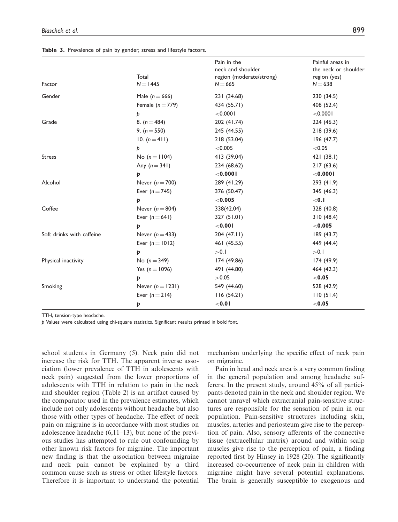|                           |                     | Pain in the<br>neck and shoulder | Painful areas in<br>the neck or shoulder |  |
|---------------------------|---------------------|----------------------------------|------------------------------------------|--|
|                           | Total<br>$N = 1445$ | region (moderate/strong)         | region (yes)<br>$N = 638$                |  |
| Factor                    |                     | $N = 665$                        |                                          |  |
| Gender                    | Male $(n = 666)$    | 231 (34.68)                      | 230 (34.5)                               |  |
|                           | Female $(n=779)$    | 434 (55.71)                      | 408 (52.4)                               |  |
|                           | Þ                   | < 0.0001                         | $<$ 0.000 l                              |  |
| Grade                     | 8. $(n = 484)$      | 202 (41.74)                      | 224 (46.3)                               |  |
|                           | 9. $(n = 550)$      | 245 (44.55)                      | 218 (39.6)                               |  |
|                           | 10. $(n=411)$       | 218 (53.04)                      | 196(47.7)                                |  |
|                           | Þ                   | < 0.005                          | < 0.05                                   |  |
| <b>Stress</b>             | No $(n = 1104)$     | 413 (39.04)                      | 421 (38.1)                               |  |
|                           | Any $(n = 341)$     | 234 (68.62)                      | 217(63.6)                                |  |
|                           | Þ                   | $<$ 0.000 l                      | $<$ 0.000 l                              |  |
| Alcohol                   | Never $(n=700)$     | 289 (41.29)                      | 293 (41.9)                               |  |
|                           | Ever $(n = 745)$    | 376 (50.47)                      | 345 (46.3)                               |  |
|                           | Þ                   | < 0.005                          | $<$ 0.1                                  |  |
| Coffee                    | Never $(n = 804)$   | 338(42.04)                       | 328 (40.8)                               |  |
|                           | Ever $(n=641)$      | 327 (51.01)                      | 310(48.4)                                |  |
|                           | Þ                   | $<$ 0.00 l                       | ${<}0.005$                               |  |
| Soft drinks with caffeine | Never $(n=433)$     | 204 (47.11)                      | 189 (43.7)                               |  |
|                           | Ever $(n = 1012)$   | 461 (45.55)                      | 449 (44.4)                               |  |
|                           | Þ                   | >0.1                             | >0.1                                     |  |
| Physical inactivity       | No $(n = 349)$      | 174 (49.86)                      | 174 (49.9)                               |  |
|                           | Yes $(n = 1096)$    | 491 (44.80)                      | 464 (42.3)                               |  |
|                           | Þ                   | >0.05                            | < 0.05                                   |  |
| Smoking                   | Never $(n = 1231)$  | 549 (44.60)                      | 528 (42.9)                               |  |
|                           | Ever $(n=214)$      | 116(54.21)                       | 110(51.4)                                |  |
|                           | Þ                   | $<$ 0.0 l                        | < 0.05                                   |  |

Table 3. Prevalence of pain by gender, stress and lifestyle factors.

TTH, tension-type headache.

p Values were calculated using chi-square statistics. Significant results printed in bold font.

school students in Germany (5). Neck pain did not increase the risk for TTH. The apparent inverse association (lower prevalence of TTH in adolescents with neck pain) suggested from the lower proportions of adolescents with TTH in relation to pain in the neck and shoulder region (Table 2) is an artifact caused by the comparator used in the prevalence estimates, which include not only adolescents without headache but also those with other types of headache. The effect of neck pain on migraine is in accordance with most studies on adolescence headache  $(6,11-13)$ , but none of the previous studies has attempted to rule out confounding by other known risk factors for migraine. The important new finding is that the association between migraine and neck pain cannot be explained by a third common cause such as stress or other lifestyle factors. Therefore it is important to understand the potential mechanism underlying the specific effect of neck pain on migraine.

Pain in head and neck area is a very common finding in the general population and among headache sufferers. In the present study, around 45% of all participants denoted pain in the neck and shoulder region. We cannot unravel which extracranial pain-sensitive structures are responsible for the sensation of pain in our population. Pain-sensitive structures including skin, muscles, arteries and periosteum give rise to the perception of pain. Also, sensory afferents of the connective tissue (extracellular matrix) around and within scalp muscles give rise to the perception of pain, a finding reported first by Hinsey in 1928 (20). The significantly increased co-occurrence of neck pain in children with migraine might have several potential explanations. The brain is generally susceptible to exogenous and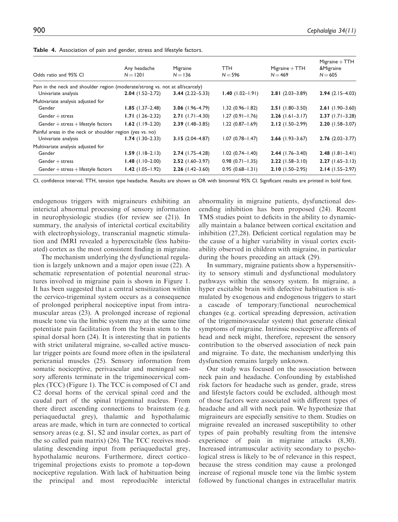| Odds ratio and 95% CI                                                          | Any headache<br>$N = 1201$ | Migraine<br>$N = 136$ | TTH<br>$N = 596$       | $Migraine + TTH$<br>$N = 469$ | $Migraine + TTH$<br>&Migraine<br>$N = 605$ |
|--------------------------------------------------------------------------------|----------------------------|-----------------------|------------------------|-------------------------------|--------------------------------------------|
| Pain in the neck and shoulder region (moderate/strong vs. not at all/scarcely) |                            |                       |                        |                               |                                            |
| Univariate analysis                                                            | $2.04$ (1.52-2.72)         | $3.44(2.22 - 5.33)$   | $1.40$ (1.02-1.91)     | $2.81(2.03 - 3.89)$           | $2.94(2.15-4.03)$                          |
| Multivariate analysis adjusted for                                             |                            |                       |                        |                               |                                            |
| Gender                                                                         | $1.85$ (1.37-2.48)         | 3.06 $(1.96 - 4.79)$  | $1.32(0.96 - 1.82)$    | $2.51(1.80-3.50)$             | $2.61(1.90-3.60)$                          |
| $Gender + stress$                                                              | $1.71(1.26 - 2.32)$        | $2.71$ (1.71–4.30)    | $1.27(0.91 - 1.76)$    | $2.26$ (1.61-3.17)            | $2.37$ (1.71-3.28)                         |
| $Gender + stress + lifestyle factors$                                          | $1.62$ (1.19-2.20)         | $2.39$ (1.48-3.85)    | $1.22(0.87 - 1.69)$    | $2.12(1.50-2.99)$             | $2.20(1.58 - 3.07)$                        |
| Painful areas in the neck or shoulder region (yes vs. no)                      |                            |                       |                        |                               |                                            |
| Univariate analysis                                                            | $1.74$ (1.30-2.33)         | $3.15(2.04 - 4.87)$   | $1.07(0.78 - 1.47)$    | $2.66$ (1.93-3.67)            | $2.76(2.02 - 3.77)$                        |
| Multivariate analysis adjusted for                                             |                            |                       |                        |                               |                                            |
| Gender                                                                         | $1.59$ (1.18-2.13)         | $2.74$ (1.75-4.28)    | $1.02$ $(0.74 - 1.40)$ | $2.44$ (1.76-3.40)            | $2.48$ (1.81-3.41)                         |
| $Gender + stress$                                                              | $1.48$ (1.10-2.00)         | $2.52$ (1.60-3.97)    | $0.98(0.71 - 1.35)$    | $2.22$ (1.58-3.10)            | $2.27(1.65-3.13)$                          |
| $Gender + stress + lifestyle factors$                                          | $1.42$ (1.05-1.92)         | $2.26$ (1.42-3.60)    | $0.95(0.68 - 1.31)$    | $2.10(1.50-2.95)$             | $2.14(1.55 - 2.97)$                        |

Table 4. Association of pain and gender, stress and lifestyle factors.

CI, confidence interval; TTH, tension type headache. Results are shown as OR with binominal 95% CI. Significant results are printed in bold font.

endogenous triggers with migraineurs exhibiting an interictal abnormal processing of sensory information in neurophysiologic studies (for review see (21)). In summary, the analysis of interictal cortical excitability with electrophysiology, transcranial magnetic stimulation and fMRI revealed a hyperexcitable (less habituated) cortex as the most consistent finding in migraine.

The mechanism underlying the dysfunctional regulation is largely unknown and a major open issue (22). A schematic representation of potential neuronal structures involved in migraine pain is shown in Figure 1. It has been suggested that a central sensitization within the cervico-trigeminal system occurs as a consequence of prolonged peripheral nociceptive input from intramuscular areas (23). A prolonged increase of regional muscle tone via the limbic system may at the same time potentiate pain facilitation from the brain stem to the spinal dorsal horn (24). It is interesting that in patients with strict unilateral migraine, so-called active muscular trigger points are found more often in the ipsilateral pericranial muscles (25). Sensory information from somatic nociceptive, perivascular and meningeal sensory afferents terminate in the trigeminocervical complex (TCC) (Figure 1). The TCC is composed of C1 and C2 dorsal horns of the cervical spinal cord and the caudal part of the spinal trigeminal nucleus. From there direct ascending connections to brainstem (e.g. periaqueductal grey), thalamic and hypothalamic areas are made, which in turn are connected to cortical sensory areas (e.g. S1, S2 and insular cortex, as part of the so called pain matrix) (26). The TCC receives modulating descending input from periaqueductal grey, hypothalamic neurons. Furthermore, direct cortico– trigeminal projections exists to promote a top-down nociceptive regulation. With lack of habituation being the principal and most reproducible interictal abnormality in migraine patients, dysfunctional descending inhibition has been proposed (24). Recent TMS studies point to deficits in the ability to dynamically maintain a balance between cortical excitation and inhibition (27,28). Deficient cortical regulation may be the cause of a higher variability in visual cortex excitability observed in children with migraine, in particular during the hours preceding an attack (29).

In summary, migraine patients show a hypersensitivity to sensory stimuli and dysfunctional modulatory pathways within the sensory system. In migraine, a hyper excitable brain with defective habituation is stimulated by exogenous and endogenous triggers to start a cascade of temporary/functional neurochemical changes (e.g. cortical spreading depression, activation of the trigeminovascular system) that generate clinical symptoms of migraine. Intrinsic nociceptive afferents of head and neck might, therefore, represent the sensory contribution to the observed association of neck pain and migraine. To date, the mechanism underlying this dysfunction remains largely unknown.

Our study was focused on the association between neck pain and headache. Confounding by established risk factors for headache such as gender, grade, stress and lifestyle factors could be excluded, although most of those factors were associated with different types of headache and all with neck pain. We hypothesize that migraineurs are especially sensitive to them. Studies on migraine revealed an increased susceptibility to other types of pain probably resulting from the intensive experience of pain in migraine attacks (8,30). Increased intramuscular activity secondary to psychological stress is likely to be of relevance in this respect, because the stress condition may cause a prolonged increase of regional muscle tone via the limbic system followed by functional changes in extracellular matrix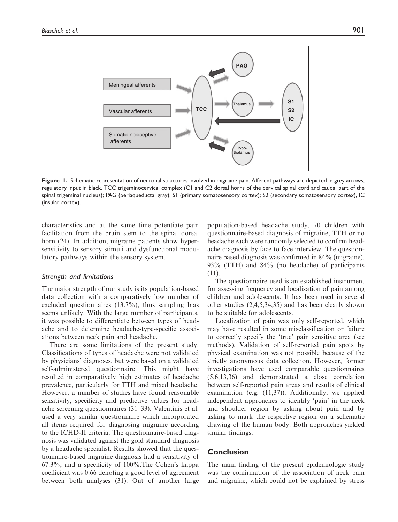

Figure 1. Schematic representation of neuronal structures involved in migraine pain. Afferent pathways are depicted in grey arrows, regulatory input in black. TCC trigeminocervical complex (C1 and C2 dorsal horns of the cervical spinal cord and caudal part of the spinal trigeminal nucleus); PAG (periaqueductal gray); S1 (primary somatosensory cortex); S2 (secondary somatosensory cortex), IC (insular cortex).

characteristics and at the same time potentiate pain facilitation from the brain stem to the spinal dorsal horn (24). In addition, migraine patients show hypersensitivity to sensory stimuli and dysfunctional modulatory pathways within the sensory system.

#### Strength and limitations

The major strength of our study is its population-based data collection with a comparatively low number of excluded questionnaires (13.7%), thus sampling bias seems unlikely. With the large number of participants, it was possible to differentiate between types of headache and to determine headache-type-specific associations between neck pain and headache.

There are some limitations of the present study. Classifications of types of headache were not validated by physicians' diagnoses, but were based on a validated self-administered questionnaire. This might have resulted in comparatively high estimates of headache prevalence, particularly for TTH and mixed headache. However, a number of studies have found reasonable sensitivity, specificity and predictive values for headache screening questionnaires (31–33). Valentinis et al. used a very similar questionnaire which incorporated all items required for diagnosing migraine according to the ICHD-II criteria. The questionnaire-based diagnosis was validated against the gold standard diagnosis by a headache specialist. Results showed that the questionnaire-based migraine diagnosis had a sensitivity of 67.3%, and a specificity of 100%.The Cohen's kappa coefficient was 0.66 denoting a good level of agreement between both analyses (31). Out of another large

population-based headache study, 70 children with questionnaire-based diagnosis of migraine, TTH or no headache each were randomly selected to confirm headache diagnosis by face to face interview. The questionnaire based diagnosis was confirmed in 84% (migraine), 93% (TTH) and 84% (no headache) of participants (11).

The questionnaire used is an established instrument for assessing frequency and localization of pain among children and adolescents. It has been used in several other studies (2,4,5,34,35) and has been clearly shown to be suitable for adolescents.

Localization of pain was only self-reported, which may have resulted in some misclassification or failure to correctly specify the 'true' pain sensitive area (see methods). Validation of self-reported pain spots by physical examination was not possible because of the strictly anonymous data collection. However, former investigations have used comparable questionnaires (5,6,13,36) and demonstrated a close correlation between self-reported pain areas and results of clinical examination (e.g. (11,37)). Additionally, we applied independent approaches to identify 'pain' in the neck and shoulder region by asking about pain and by asking to mark the respective region on a schematic drawing of the human body. Both approaches yielded similar findings.

## **Conclusion**

The main finding of the present epidemiologic study was the confirmation of the association of neck pain and migraine, which could not be explained by stress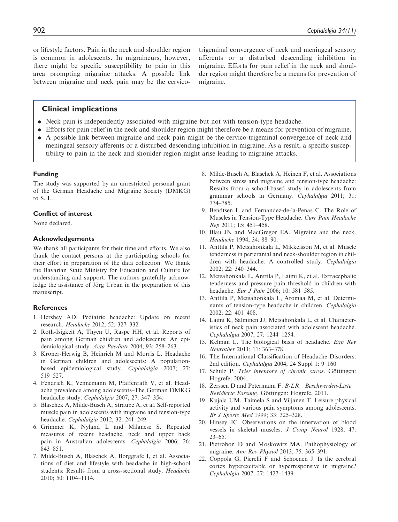or lifestyle factors. Pain in the neck and shoulder region is common in adolescents. In migraineurs, however, there might be specific susceptibility to pain in this area prompting migraine attacks. A possible link between migraine and neck pain may be the cervico-

trigeminal convergence of neck and meningeal sensory afferents or a disturbed descending inhibition in migraine. Efforts for pain relief in the neck and shoulder region might therefore be a means for prevention of migraine.

## Clinical implications

- . Neck pain is independently associated with migraine but not with tension-type headache.
- . Efforts for pain relief in the neck and shoulder region might therefore be a means for prevention of migraine.
- . A possible link between migraine and neck pain might be the cervico-trigeminal convergence of neck and meningeal sensory afferents or a disturbed descending inhibition in migraine. As a result, a specific susceptibility to pain in the neck and shoulder region might arise leading to migraine attacks.

### Funding

The study was supported by an unrestricted personal grant of the German Headache and Migraine Society (DMKG) to S. L.

#### Conflict of interest

None declared.

#### Acknowledgements

We thank all participants for their time and efforts. We also thank the contact persons at the participating schools for their effort in preparation of the data collection. We thank the Bavarian State Ministry for Education and Culture for understanding and support. The authors gratefully acknowledge the assistance of Jörg Urban in the preparation of this manuscript.

#### **References**

- 1. Hershey AD. Pediatric headache: Update on recent research. Headache 2012; 52: 327–332.
- 2. Roth-Isigkeit A, Thyen U, Raspe HH, et al. Reports of pain among German children and adolescents: An epidemiological study. Acta Paediatr 2004; 93: 258–263.
- 3. Kroner-Herwig B, Heinrich M and Morris L. Headache in German children and adolescents: A populationbased epidemiological study. Cephalalgia 2007; 27: 519–527.
- 4. Fendrich K, Vennemann M, Pfaffenrath V, et al. Headache prevalence among adolescents–The German DMKG headache study. Cephalalgia 2007; 27: 347–354.
- 5. Blaschek A, Milde-Busch A, Straube A, et al. Self-reported muscle pain in adolescents with migraine and tension-type headache. Cephalalgia 2012; 32: 241–249.
- 6. Grimmer K, Nyland L and Milanese S. Repeated measures of recent headache, neck and upper back pain in Australian adolescents. Cephalalgia 2006; 26: 843–851.
- 7. Milde-Busch A, Blaschek A, Borggrafe I, et al. Associations of diet and lifestyle with headache in high-school students: Results from a cross-sectional study. Headache 2010; 50: 1104–1114.
- 8. Milde-Busch A, Blaschek A, Heinen F, et al. Associations between stress and migraine and tension-type headache: Results from a school-based study in adolescents from grammar schools in Germany. Cephalalgia 2011; 31: 774–785.
- 9. Bendtsen L and Fernandez-de-la-Penas C. The Role of Muscles in Tension-Type Headache. Curr Pain Headache Rep 2011; 15: 451–458.
- 10. Blau JN and MacGregor EA. Migraine and the neck. Headache 1994; 34: 88–90.
- 11. Anttila P, Metsahonkala L, Mikkelsson M, et al. Muscle tenderness in pericranial and neck-shoulder region in children with headache. A controlled study. Cephalalgia 2002; 22: 340–344.
- 12. Metsahonkala L, Anttila P, Laimi K, et al. Extracephalic tenderness and pressure pain threshold in children with headache. Eur J Pain 2006; 10: 581–585.
- 13. Anttila P, Metsahonkala L, Aromaa M, et al. Determinants of tension-type headache in children. Cephalalgia 2002; 22: 401–408.
- 14. Laimi K, Salminen JJ, Metsahonkala L, et al. Characteristics of neck pain associated with adolescent headache. Cephalalgia 2007; 27: 1244–1254.
- 15. Kelman L. The biological basis of headache. Exp Rev Neurother 2011; 11: 363–378.
- 16. The International Classification of Headache Disorders: 2nd edition. Cephalalgia 2004; 24 Suppl 1: 9–160.
- 17. Schulz P. Trier inventory of chronic stress. Göttingen: Hogrefe, 2004.
- 18. Zerssen D and Petermann F. B-LR Beschwerden-Liste Revidierte Fassung. Göttingen: Hogrefe, 2011.
- 19. Kujala UM, Taimela S and Viljanen T. Leisure physical activity and various pain symptoms among adolescents. Br J Sports Med 1999; 33: 325–328.
- 20. Hinsey JC. Observations on the innervation of blood vessels in skeletal muscles. J Comp Neurol 1928; 47: 23–65.
- 21. Pietrobon D and Moskowitz MA. Pathophysiology of migraine. Ann Rev Physiol 2013; 75: 365–391.
- 22. Coppola G, Pierelli F and Schoenen J. Is the cerebral cortex hyperexcitable or hyperresponsive in migraine? Cephalalgia 2007; 27: 1427–1439.